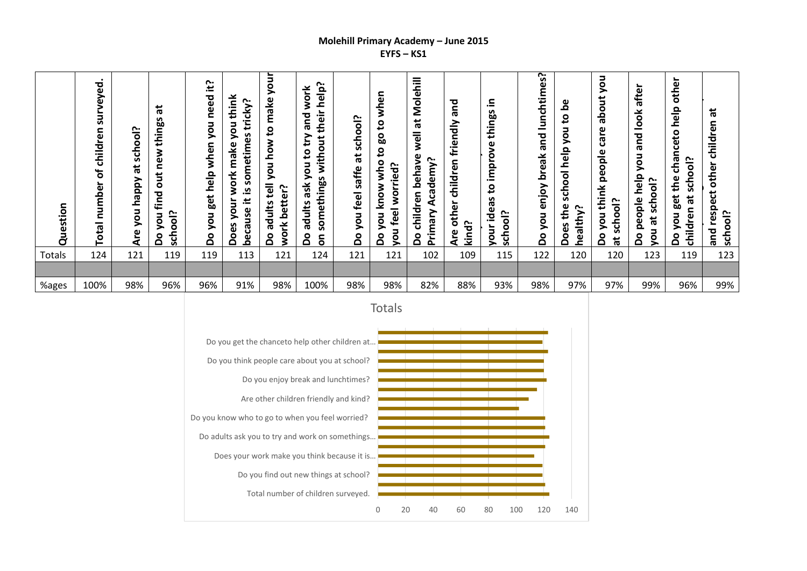## **Molehill Primary Academy – June 2015 EYFS – KS1**

| Question | $\bullet$<br>veyed.<br>ริม<br>children<br>Ⴆ<br>umber<br>c<br>Total | <b>Sloo</b><br>ج<br>S<br>ä<br><b>Adde</b><br>you<br>ၑ | $\vec{a}$<br>things<br>new<br>$\overline{a}$<br>find<br>school?<br>non<br>å | Ë<br>need<br>you<br>when<br>help<br>get<br>non<br>å | think<br><b>C.</b><br>tricky<br>you<br>sometimes<br>make<br>work<br>ִ∾.<br>your<br>≝.<br>cause<br>Does<br><u>ق</u> | ⋚<br>୨<br>make<br>$\mathbf{S}$<br>how<br>you<br>$\overline{5}$<br>better?<br>adults<br>ork<br>$\circ$<br>⋧<br>۵ | help?<br>work<br>their<br>and<br><u>یع</u><br>without<br>S,<br>ō<br>S<br>something<br>ask<br>adults<br><u>م</u><br>δ | school?<br>$\vec{a}$<br>saffe<br>feel<br>you<br>å | when<br>ខ្<br>80<br>ខ<br>oqw<br>worried?<br>know<br>feel<br>you<br>you<br>႕၀ | Molehill<br>苘<br>well<br>ያ<br>r.<br>Academy<br>beha<br>ren<br>child<br>Primary<br>$\circ$<br>≏ | ᅙ<br>σ<br>friendly<br>⊆<br>ၑ<br>child<br>┶<br>other<br><u>cpu</u><br>ω<br>"⊻<br>c | ⊇.<br>n<br>ೲ<br>thiny<br>Φ<br>Ó<br>┶<br>lmpi<br><u>ي</u><br>n<br>idea<br>school?<br>ă | <b>C.</b><br>lunchtimes<br>and<br>break<br>enjoy<br>you<br>å | ൧ഀ<br>$\mathbf{c}$<br>non<br>help<br>school<br>the<br>r.<br>healthy<br>Does | non<br>about<br>care<br>people<br>think<br>school?<br>you<br>å<br>耑 | ┶<br>afte<br>look<br>and<br>non<br>help<br>ool?<br>people<br>န<br>w<br>π<br>$\circ$<br>۰<br>۵ | other<br>help<br>chanceto<br>ool?<br>the<br>ج<br>S<br>get<br>ಕ<br>5g<br>you<br>خ<br>Tildr<br>å<br>᠊ᠣ | $\overline{a}$<br>children<br>respect other<br>school?<br>and |
|----------|--------------------------------------------------------------------|-------------------------------------------------------|-----------------------------------------------------------------------------|-----------------------------------------------------|--------------------------------------------------------------------------------------------------------------------|-----------------------------------------------------------------------------------------------------------------|----------------------------------------------------------------------------------------------------------------------|---------------------------------------------------|------------------------------------------------------------------------------|------------------------------------------------------------------------------------------------|-----------------------------------------------------------------------------------|---------------------------------------------------------------------------------------|--------------------------------------------------------------|-----------------------------------------------------------------------------|---------------------------------------------------------------------|-----------------------------------------------------------------------------------------------|------------------------------------------------------------------------------------------------------|---------------------------------------------------------------|
| Totals   | 124                                                                | 121                                                   | 119                                                                         | 119                                                 | 113                                                                                                                | 121                                                                                                             | 124                                                                                                                  | 121                                               | 121                                                                          | 102                                                                                            | 109                                                                               | 115                                                                                   | 122                                                          | 120                                                                         | 120                                                                 | 123                                                                                           | 119                                                                                                  | 123                                                           |
|          |                                                                    |                                                       |                                                                             |                                                     |                                                                                                                    |                                                                                                                 |                                                                                                                      |                                                   |                                                                              |                                                                                                |                                                                                   |                                                                                       |                                                              |                                                                             |                                                                     |                                                                                               |                                                                                                      |                                                               |
| %ages    | 100%                                                               | 98%                                                   | 96%                                                                         | 96%                                                 | 91%                                                                                                                | 98%                                                                                                             | 100%                                                                                                                 | 98%                                               | 98%                                                                          | 82%                                                                                            | 88%                                                                               | 93%                                                                                   | 98%                                                          | 97%                                                                         | 97%                                                                 | 99%                                                                                           | 96%                                                                                                  | 99%                                                           |

Totals

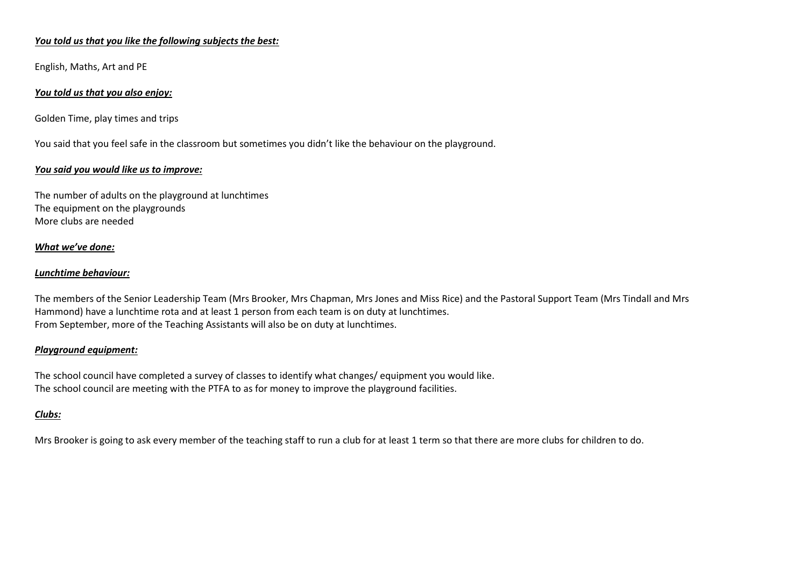#### *You told us that you like the following subjects the best:*

English, Maths, Art and PE

#### *You told us that you also enjoy:*

Golden Time, play times and trips

You said that you feel safe in the classroom but sometimes you didn't like the behaviour on the playground.

#### *You said you would like us to improve:*

The number of adults on the playground at lunchtimes The equipment on the playgrounds More clubs are needed

#### *What we've done:*

#### *Lunchtime behaviour:*

The members of the Senior Leadership Team (Mrs Brooker, Mrs Chapman, Mrs Jones and Miss Rice) and the Pastoral Support Team (Mrs Tindall and Mrs Hammond) have a lunchtime rota and at least 1 person from each team is on duty at lunchtimes. From September, more of the Teaching Assistants will also be on duty at lunchtimes.

#### *Playground equipment:*

The school council have completed a survey of classes to identify what changes/ equipment you would like. The school council are meeting with the PTFA to as for money to improve the playground facilities.

#### *Clubs:*

Mrs Brooker is going to ask every member of the teaching staff to run a club for at least 1 term so that there are more clubs for children to do.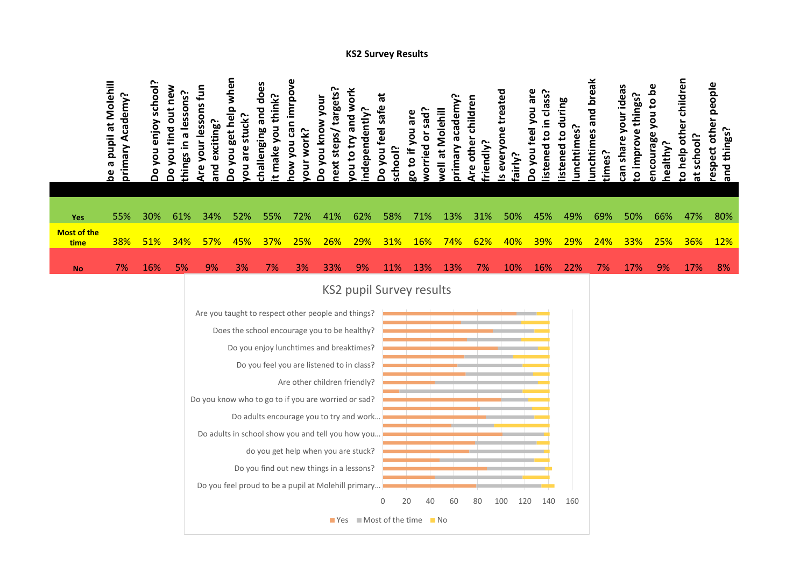## **KS2 Survey Results**

|                            | be a pupil at Molehill<br>primary Academy? | enjoy school?<br>Do you | out new<br>a lessons?<br>you find<br>things in<br>δo | lessons fun<br>exciting?<br>your<br>pue | when<br>Do you get help<br>stuck?<br>are<br>š                                                                                                                                                                                                                         | challenging and does<br>t make you think?                                                                                                                                                                          | you can imrpove<br>work?<br>Mou<br>our | next steps/targets?<br>you know your<br>8<br>D | and work<br>ndependently?<br>Yu to try | ä<br>safe<br>Do you feel<br>school? | worried or sad?<br>go to if you are                                                                                 | primary academy?<br>at Molehill<br><b>Well</b> | Are other children<br>riendly? | everyone treated<br>airly?<br><b>S</b> | Do you feel you are<br>istened to in class? | istened to during<br>unchtimes? | unchtimes and break<br>times? | can share your ideas<br>things?<br>o improve | Φ<br>Ō<br>you to<br>encourage<br>healthy? | help other children<br>school?<br>$\overline{5}$<br>$\vec{a}$ | respect other people<br>and things? |
|----------------------------|--------------------------------------------|-------------------------|------------------------------------------------------|-----------------------------------------|-----------------------------------------------------------------------------------------------------------------------------------------------------------------------------------------------------------------------------------------------------------------------|--------------------------------------------------------------------------------------------------------------------------------------------------------------------------------------------------------------------|----------------------------------------|------------------------------------------------|----------------------------------------|-------------------------------------|---------------------------------------------------------------------------------------------------------------------|------------------------------------------------|--------------------------------|----------------------------------------|---------------------------------------------|---------------------------------|-------------------------------|----------------------------------------------|-------------------------------------------|---------------------------------------------------------------|-------------------------------------|
| Yes                        | 55%                                        | 30%                     | 61%                                                  | 34%                                     | 52%                                                                                                                                                                                                                                                                   | 55%                                                                                                                                                                                                                | 72%                                    | 41%                                            | 62%                                    | 58%                                 | 71%                                                                                                                 | 13%                                            | 31%                            | 50%                                    | 45%                                         | 49%                             | 69%                           | 50%                                          | 66%                                       | 47%                                                           | 80%                                 |
| <b>Most of the</b><br>time | 38%                                        | 51%                     | 34%                                                  | 57%                                     | 45%                                                                                                                                                                                                                                                                   | 37%                                                                                                                                                                                                                | 25%                                    | 26%                                            | 29%                                    | 31%                                 | 16%                                                                                                                 | 74%                                            | 62%                            | 40%                                    | 39%                                         | <b>29%</b>                      | 24%                           | 33%                                          | 25%                                       | 36%                                                           | <b>12%</b>                          |
| <b>No</b>                  | 7%                                         | 16%                     | 5%                                                   | 9%                                      | 3%                                                                                                                                                                                                                                                                    | 7%                                                                                                                                                                                                                 | 3%                                     | 33%                                            | 9%                                     | 11%                                 | <b>13%</b>                                                                                                          | 13%                                            | 7%                             | 10%                                    | 16%                                         | 22%                             | 7%                            | 17%                                          | 9%                                        | 17%                                                           | 8%                                  |
|                            |                                            |                         |                                                      |                                         | Are you taught to respect other people and things?<br>Does the school encourage you to be healthy?<br>Do you know who to go to if you are worried or sad?<br>Do adults in school show you and tell you how you<br>Do you feel proud to be a pupil at Molehill primary | Do you enjoy lunchtimes and breaktimes?<br>Do you feel you are listened to in class?<br>Do adults encourage you to try and work<br>do you get help when you are stuck?<br>Do you find out new things in a lessons? | Are other children friendly?           |                                                |                                        | 0                                   | <b>KS2 pupil Survey results</b><br>20<br>40<br>$\blacksquare$ Yes $\blacksquare$ Most of the time $\blacksquare$ No | 60                                             | 80                             | 100<br>120                             | 140                                         | 160                             |                               |                                              |                                           |                                                               |                                     |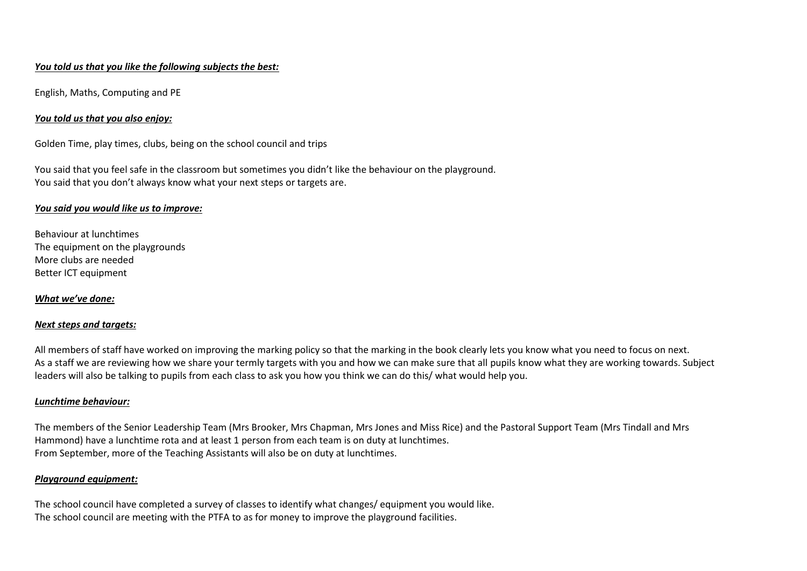## *You told us that you like the following subjects the best:*

English, Maths, Computing and PE

## *You told us that you also enjoy:*

Golden Time, play times, clubs, being on the school council and trips

You said that you feel safe in the classroom but sometimes you didn't like the behaviour on the playground. You said that you don't always know what your next steps or targets are.

#### *You said you would like us to improve:*

Behaviour at lunchtimes The equipment on the playgrounds More clubs are needed Better ICT equipment

## *What we've done:*

## *Next steps and targets:*

All members of staff have worked on improving the marking policy so that the marking in the book clearly lets you know what you need to focus on next. As a staff we are reviewing how we share your termly targets with you and how we can make sure that all pupils know what they are working towards. Subject leaders will also be talking to pupils from each class to ask you how you think we can do this/ what would help you.

## *Lunchtime behaviour:*

The members of the Senior Leadership Team (Mrs Brooker, Mrs Chapman, Mrs Jones and Miss Rice) and the Pastoral Support Team (Mrs Tindall and Mrs Hammond) have a lunchtime rota and at least 1 person from each team is on duty at lunchtimes. From September, more of the Teaching Assistants will also be on duty at lunchtimes.

## *Playground equipment:*

The school council have completed a survey of classes to identify what changes/ equipment you would like. The school council are meeting with the PTFA to as for money to improve the playground facilities.